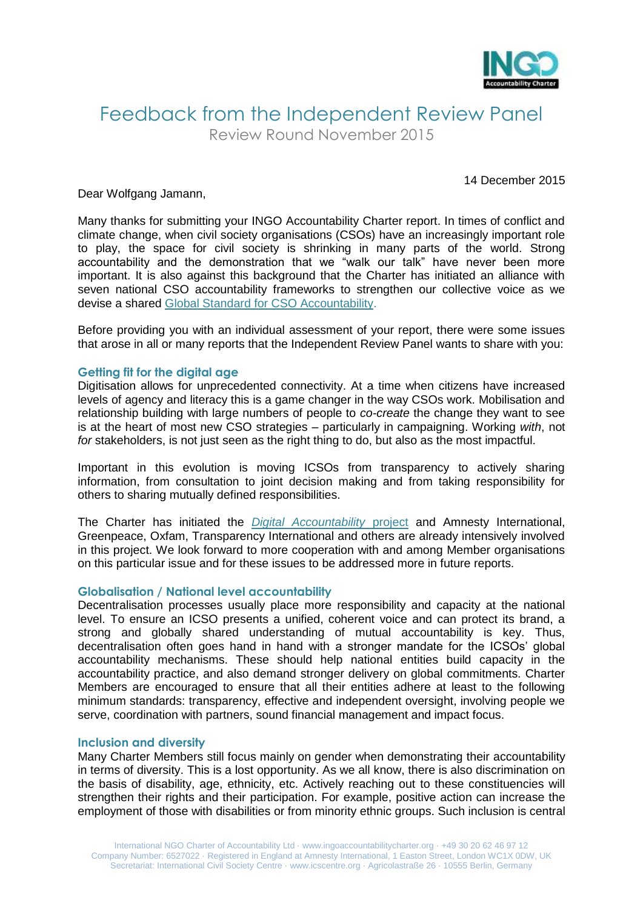

## Feedback from the Independent Review Panel Review Round November 2015

14 December 2015

Dear Wolfgang Jamann,

Many thanks for submitting your INGO Accountability Charter report. In times of conflict and climate change, when civil society organisations (CSOs) have an increasingly important role to play, the space for civil society is shrinking in many parts of the world. Strong accountability and the demonstration that we "walk our talk" have never been more important. It is also against this background that the Charter has initiated an alliance with seven national CSO accountability frameworks to strengthen our collective voice as we devise a shared [Global Standard for CSO Accountability.](http://www.ingoaccountabilitycharter.org/global-standard-for-cso-accountability/)

Before providing you with an individual assessment of your report, there were some issues that arose in all or many reports that the Independent Review Panel wants to share with you:

#### **Getting fit for the digital age**

Digitisation allows for unprecedented connectivity. At a time when citizens have increased levels of agency and literacy this is a game changer in the way CSOs work. Mobilisation and relationship building with large numbers of people to *co-create* the change they want to see is at the heart of most new CSO strategies – particularly in campaigning. Working *with*, not *for* stakeholders, is not just seen as the right thing to do, but also as the most impactful.

Important in this evolution is moving ICSOs from transparency to actively sharing information, from consultation to joint decision making and from taking responsibility for others to sharing mutually defined responsibilities.

The Charter has initiated the *[Digital Accountability](http://www.ingoaccountabilitycharter.org/cso-accountability-in-the-digital-age/)* project and Amnesty International, Greenpeace, Oxfam, Transparency International and others are already intensively involved in this project. We look forward to more cooperation with and among Member organisations on this particular issue and for these issues to be addressed more in future reports.

#### **Globalisation / National level accountability**

Decentralisation processes usually place more responsibility and capacity at the national level. To ensure an ICSO presents a unified, coherent voice and can protect its brand, a strong and globally shared understanding of mutual accountability is key. Thus, decentralisation often goes hand in hand with a stronger mandate for the ICSOs' global accountability mechanisms. These should help national entities build capacity in the accountability practice, and also demand stronger delivery on global commitments. Charter Members are encouraged to ensure that all their entities adhere at least to the following minimum standards: transparency, effective and independent oversight, involving people we serve, coordination with partners, sound financial management and impact focus.

#### **Inclusion and diversity**

Many Charter Members still focus mainly on gender when demonstrating their accountability in terms of diversity. This is a lost opportunity. As we all know, there is also discrimination on the basis of disability, age, ethnicity, etc. Actively reaching out to these constituencies will strengthen their rights and their participation. For example, positive action can increase the employment of those with disabilities or from minority ethnic groups. Such inclusion is central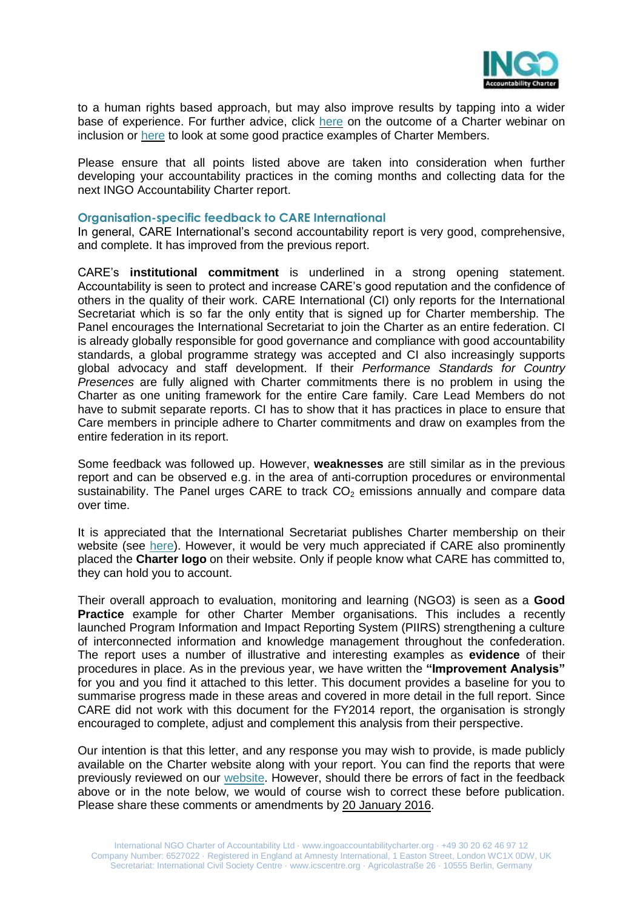

to a human rights based approach, but may also improve results by tapping into a wider base of experience. For further advice, click [here](http://www.ingoaccountabilitycharter.org/wpcms/wp-content/uploads/14-06-06-Inclusion-Webinar-Summary.pdf) on the outcome of a Charter webinar on inclusion or [here](http://www.ingoaccountabilitycharter.org/good-practice/) to look at some good practice examples of Charter Members.

Please ensure that all points listed above are taken into consideration when further developing your accountability practices in the coming months and collecting data for the next INGO Accountability Charter report.

#### **Organisation-specific feedback to CARE International**

In general, CARE International's second accountability report is very good, comprehensive, and complete. It has improved from the previous report.

CARE's **institutional commitment** is underlined in a strong opening statement. Accountability is seen to protect and increase CARE's good reputation and the confidence of others in the quality of their work. CARE International (CI) only reports for the International Secretariat which is so far the only entity that is signed up for Charter membership. The Panel encourages the International Secretariat to join the Charter as an entire federation. CI is already globally responsible for good governance and compliance with good accountability standards, a global programme strategy was accepted and CI also increasingly supports global advocacy and staff development. If their *Performance Standards for Country Presences* are fully aligned with Charter commitments there is no problem in using the Charter as one uniting framework for the entire Care family. Care Lead Members do not have to submit separate reports. CI has to show that it has practices in place to ensure that Care members in principle adhere to Charter commitments and draw on examples from the entire federation in its report.

Some feedback was followed up. However, **weaknesses** are still similar as in the previous report and can be observed e.g. in the area of anti-corruption procedures or environmental sustainability. The Panel urges CARE to track  $CO<sub>2</sub>$  emissions annually and compare data over time.

It is appreciated that the International Secretariat publishes Charter membership on their website (see [here\)](http://www.care-international.org/about-us/accountability.aspx). However, it would be very much appreciated if CARE also prominently placed the **Charter logo** on their website. Only if people know what CARE has committed to, they can hold you to account.

Their overall approach to evaluation, monitoring and learning (NGO3) is seen as a **Good Practice** example for other Charter Member organisations. This includes a recently launched Program Information and Impact Reporting System (PIIRS) strengthening a culture of interconnected information and knowledge management throughout the confederation. The report uses a number of illustrative and interesting examples as **evidence** of their procedures in place. As in the previous year, we have written the **"Improvement Analysis"**  for you and you find it attached to this letter. This document provides a baseline for you to summarise progress made in these areas and covered in more detail in the full report. Since CARE did not work with this document for the FY2014 report, the organisation is strongly encouraged to complete, adjust and complement this analysis from their perspective.

Our intention is that this letter, and any response you may wish to provide, is made publicly available on the Charter website along with your report. You can find the reports that were previously reviewed on our [website.](http://www.ingoaccountabilitycharter.org/home/charter-members/) However, should there be errors of fact in the feedback above or in the note below, we would of course wish to correct these before publication. Please share these comments or amendments by 20 January 2016.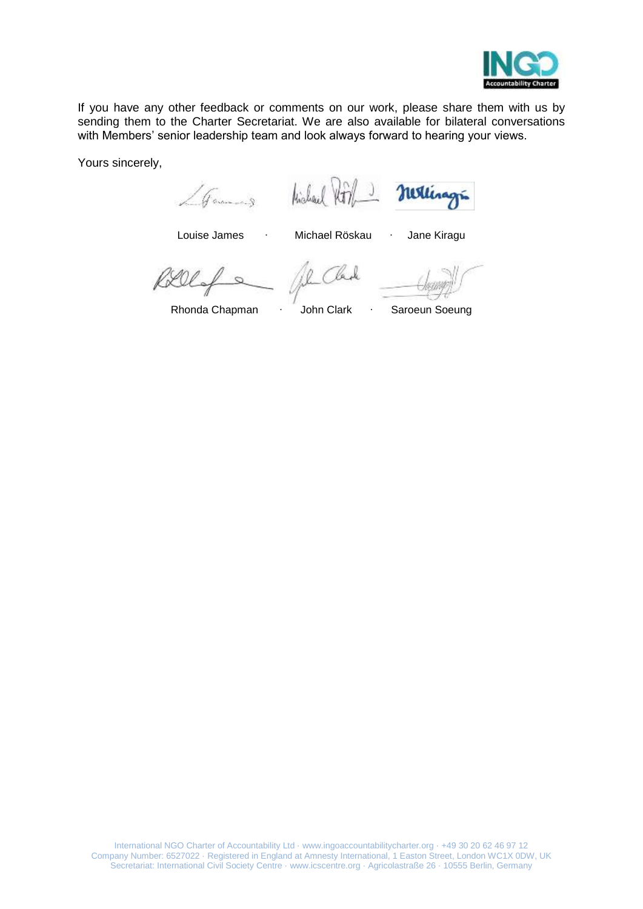

If you have any other feedback or comments on our work, please share them with us by sending them to the Charter Secretariat. We are also available for bilateral conversations with Members' senior leadership team and look always forward to hearing your views.

Yours sincerely,

Games Hishael Hill matings

Louise James ∙ Michael Röskau ∙ Jane Kiragu

 $\overline{\alpha}$ 

Rhonda Chapman ∙ John Clark ∙ Saroeun Soeung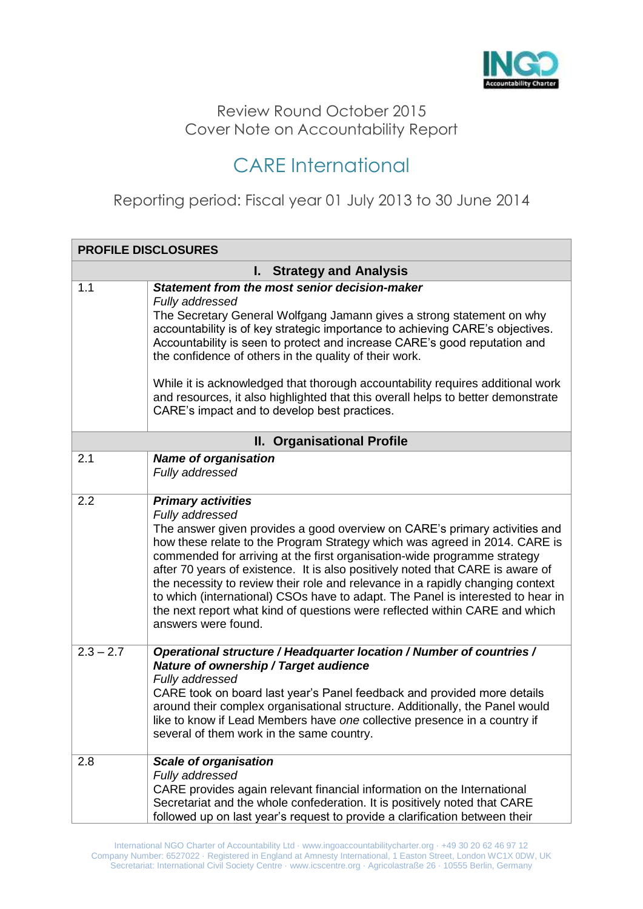

### Review Round October 2015 Cover Note on Accountability Report

# CARE International

Reporting period: Fiscal year 01 July 2013 to 30 June 2014

| <b>PROFILE DISCLOSURES</b>      |                                                                                                                                                                                                                                                                                                                                                                                                                                                                                                                                                                                                                                                   |  |
|---------------------------------|---------------------------------------------------------------------------------------------------------------------------------------------------------------------------------------------------------------------------------------------------------------------------------------------------------------------------------------------------------------------------------------------------------------------------------------------------------------------------------------------------------------------------------------------------------------------------------------------------------------------------------------------------|--|
| <b>I.</b> Strategy and Analysis |                                                                                                                                                                                                                                                                                                                                                                                                                                                                                                                                                                                                                                                   |  |
| 1.1                             | Statement from the most senior decision-maker<br>Fully addressed<br>The Secretary General Wolfgang Jamann gives a strong statement on why<br>accountability is of key strategic importance to achieving CARE's objectives.<br>Accountability is seen to protect and increase CARE's good reputation and<br>the confidence of others in the quality of their work.<br>While it is acknowledged that thorough accountability requires additional work<br>and resources, it also highlighted that this overall helps to better demonstrate<br>CARE's impact and to develop best practices.                                                           |  |
|                                 | II. Organisational Profile                                                                                                                                                                                                                                                                                                                                                                                                                                                                                                                                                                                                                        |  |
| 2.1                             | <b>Name of organisation</b><br>Fully addressed                                                                                                                                                                                                                                                                                                                                                                                                                                                                                                                                                                                                    |  |
| 2.2                             | <b>Primary activities</b><br>Fully addressed<br>The answer given provides a good overview on CARE's primary activities and<br>how these relate to the Program Strategy which was agreed in 2014. CARE is<br>commended for arriving at the first organisation-wide programme strategy<br>after 70 years of existence. It is also positively noted that CARE is aware of<br>the necessity to review their role and relevance in a rapidly changing context<br>to which (international) CSOs have to adapt. The Panel is interested to hear in<br>the next report what kind of questions were reflected within CARE and which<br>answers were found. |  |
| $2.3 - 2.7$                     | Operational structure / Headquarter location / Number of countries /<br><b>Nature of ownership / Target audience</b><br>Fully addressed<br>CARE took on board last year's Panel feedback and provided more details<br>around their complex organisational structure. Additionally, the Panel would<br>like to know if Lead Members have one collective presence in a country if<br>several of them work in the same country.                                                                                                                                                                                                                      |  |
| 2.8                             | <b>Scale of organisation</b><br>Fully addressed<br>CARE provides again relevant financial information on the International<br>Secretariat and the whole confederation. It is positively noted that CARE<br>followed up on last year's request to provide a clarification between their                                                                                                                                                                                                                                                                                                                                                            |  |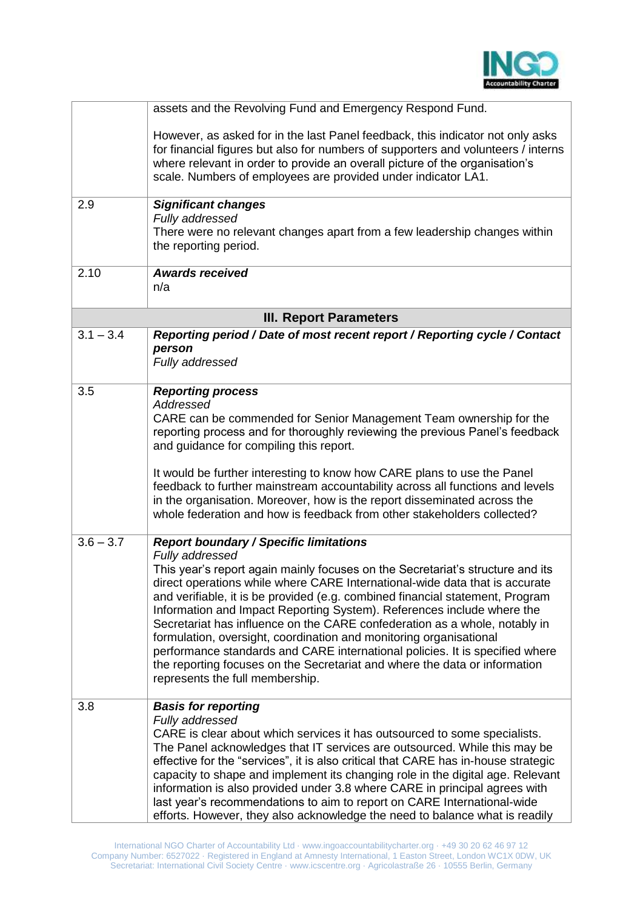

|             | assets and the Revolving Fund and Emergency Respond Fund.                                                                                                                                                                                                                                                                                                                                                                                                                                                                                                                                                                                                                                                                                         |
|-------------|---------------------------------------------------------------------------------------------------------------------------------------------------------------------------------------------------------------------------------------------------------------------------------------------------------------------------------------------------------------------------------------------------------------------------------------------------------------------------------------------------------------------------------------------------------------------------------------------------------------------------------------------------------------------------------------------------------------------------------------------------|
|             | However, as asked for in the last Panel feedback, this indicator not only asks<br>for financial figures but also for numbers of supporters and volunteers / interns<br>where relevant in order to provide an overall picture of the organisation's<br>scale. Numbers of employees are provided under indicator LA1.                                                                                                                                                                                                                                                                                                                                                                                                                               |
| 2.9         | <b>Significant changes</b><br>Fully addressed<br>There were no relevant changes apart from a few leadership changes within<br>the reporting period.                                                                                                                                                                                                                                                                                                                                                                                                                                                                                                                                                                                               |
| 2.10        | <b>Awards received</b><br>n/a                                                                                                                                                                                                                                                                                                                                                                                                                                                                                                                                                                                                                                                                                                                     |
|             | <b>III. Report Parameters</b>                                                                                                                                                                                                                                                                                                                                                                                                                                                                                                                                                                                                                                                                                                                     |
| $3.1 - 3.4$ | Reporting period / Date of most recent report / Reporting cycle / Contact<br>person<br>Fully addressed                                                                                                                                                                                                                                                                                                                                                                                                                                                                                                                                                                                                                                            |
| 3.5         | <b>Reporting process</b><br>Addressed<br>CARE can be commended for Senior Management Team ownership for the<br>reporting process and for thoroughly reviewing the previous Panel's feedback<br>and guidance for compiling this report.<br>It would be further interesting to know how CARE plans to use the Panel<br>feedback to further mainstream accountability across all functions and levels<br>in the organisation. Moreover, how is the report disseminated across the<br>whole federation and how is feedback from other stakeholders collected?                                                                                                                                                                                         |
| $3.6 - 3.7$ | <b>Report boundary / Specific limitations</b><br>Fully addressed<br>This year's report again mainly focuses on the Secretariat's structure and its<br>direct operations while where CARE International-wide data that is accurate<br>and verifiable, it is be provided (e.g. combined financial statement, Program<br>Information and Impact Reporting System). References include where the<br>Secretariat has influence on the CARE confederation as a whole, notably in<br>formulation, oversight, coordination and monitoring organisational<br>performance standards and CARE international policies. It is specified where<br>the reporting focuses on the Secretariat and where the data or information<br>represents the full membership. |
| 3.8         | <b>Basis for reporting</b><br>Fully addressed<br>CARE is clear about which services it has outsourced to some specialists.<br>The Panel acknowledges that IT services are outsourced. While this may be<br>effective for the "services", it is also critical that CARE has in-house strategic<br>capacity to shape and implement its changing role in the digital age. Relevant<br>information is also provided under 3.8 where CARE in principal agrees with<br>last year's recommendations to aim to report on CARE International-wide<br>efforts. However, they also acknowledge the need to balance what is readily                                                                                                                           |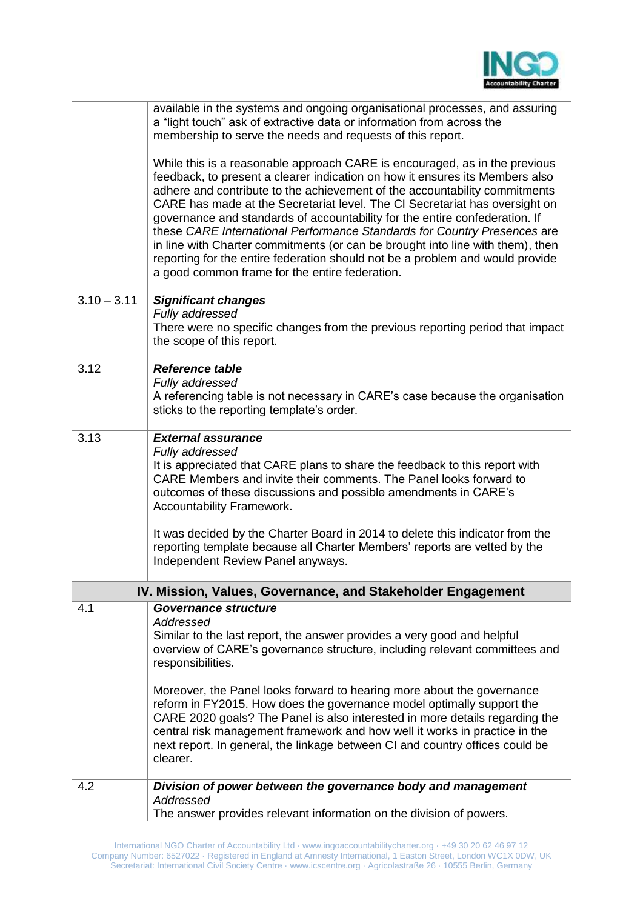

|               | available in the systems and ongoing organisational processes, and assuring<br>a "light touch" ask of extractive data or information from across the<br>membership to serve the needs and requests of this report.                                                                                                                                                                                                                                                                                                                                                                                                                                                                                      |
|---------------|---------------------------------------------------------------------------------------------------------------------------------------------------------------------------------------------------------------------------------------------------------------------------------------------------------------------------------------------------------------------------------------------------------------------------------------------------------------------------------------------------------------------------------------------------------------------------------------------------------------------------------------------------------------------------------------------------------|
|               | While this is a reasonable approach CARE is encouraged, as in the previous<br>feedback, to present a clearer indication on how it ensures its Members also<br>adhere and contribute to the achievement of the accountability commitments<br>CARE has made at the Secretariat level. The CI Secretariat has oversight on<br>governance and standards of accountability for the entire confederation. If<br>these CARE International Performance Standards for Country Presences are<br>in line with Charter commitments (or can be brought into line with them), then<br>reporting for the entire federation should not be a problem and would provide<br>a good common frame for the entire federation. |
| $3.10 - 3.11$ | <b>Significant changes</b><br>Fully addressed<br>There were no specific changes from the previous reporting period that impact<br>the scope of this report.                                                                                                                                                                                                                                                                                                                                                                                                                                                                                                                                             |
| 3.12          | <b>Reference table</b><br>Fully addressed<br>A referencing table is not necessary in CARE's case because the organisation<br>sticks to the reporting template's order.                                                                                                                                                                                                                                                                                                                                                                                                                                                                                                                                  |
| 3.13          | <b>External assurance</b><br>Fully addressed<br>It is appreciated that CARE plans to share the feedback to this report with<br>CARE Members and invite their comments. The Panel looks forward to<br>outcomes of these discussions and possible amendments in CARE's<br>Accountability Framework.                                                                                                                                                                                                                                                                                                                                                                                                       |
|               | It was decided by the Charter Board in 2014 to delete this indicator from the<br>reporting template because all Charter Members' reports are vetted by the<br>Independent Review Panel anyways.                                                                                                                                                                                                                                                                                                                                                                                                                                                                                                         |
|               | IV. Mission, Values, Governance, and Stakeholder Engagement                                                                                                                                                                                                                                                                                                                                                                                                                                                                                                                                                                                                                                             |
| 4.1           | Governance structure<br>Addressed<br>Similar to the last report, the answer provides a very good and helpful<br>overview of CARE's governance structure, including relevant committees and<br>responsibilities.                                                                                                                                                                                                                                                                                                                                                                                                                                                                                         |
|               | Moreover, the Panel looks forward to hearing more about the governance<br>reform in FY2015. How does the governance model optimally support the<br>CARE 2020 goals? The Panel is also interested in more details regarding the<br>central risk management framework and how well it works in practice in the<br>next report. In general, the linkage between CI and country offices could be<br>clearer.                                                                                                                                                                                                                                                                                                |
| 4.2           | Division of power between the governance body and management<br>Addressed<br>The answer provides relevant information on the division of powers.                                                                                                                                                                                                                                                                                                                                                                                                                                                                                                                                                        |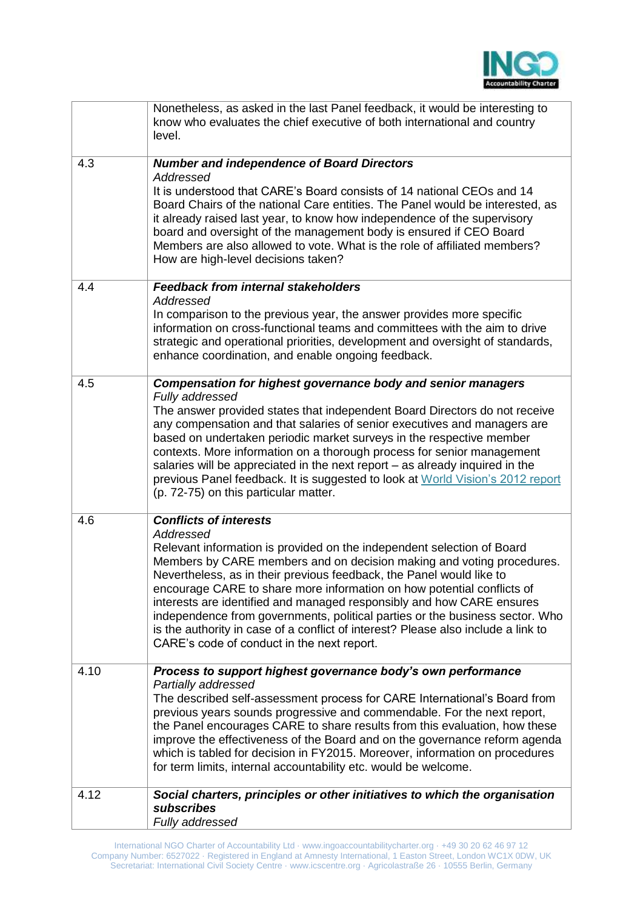

|      | Nonetheless, as asked in the last Panel feedback, it would be interesting to<br>know who evaluates the chief executive of both international and country<br>level.                                                                                                                                                                                                                                                                                                                                                                                                                                         |
|------|------------------------------------------------------------------------------------------------------------------------------------------------------------------------------------------------------------------------------------------------------------------------------------------------------------------------------------------------------------------------------------------------------------------------------------------------------------------------------------------------------------------------------------------------------------------------------------------------------------|
| 4.3  | <b>Number and independence of Board Directors</b>                                                                                                                                                                                                                                                                                                                                                                                                                                                                                                                                                          |
|      | Addressed<br>It is understood that CARE's Board consists of 14 national CEOs and 14<br>Board Chairs of the national Care entities. The Panel would be interested, as<br>it already raised last year, to know how independence of the supervisory<br>board and oversight of the management body is ensured if CEO Board<br>Members are also allowed to vote. What is the role of affiliated members?<br>How are high-level decisions taken?                                                                                                                                                                 |
| 4.4  | <b>Feedback from internal stakeholders</b>                                                                                                                                                                                                                                                                                                                                                                                                                                                                                                                                                                 |
|      | Addressed<br>In comparison to the previous year, the answer provides more specific<br>information on cross-functional teams and committees with the aim to drive<br>strategic and operational priorities, development and oversight of standards,<br>enhance coordination, and enable ongoing feedback.                                                                                                                                                                                                                                                                                                    |
| 4.5  | Compensation for highest governance body and senior managers                                                                                                                                                                                                                                                                                                                                                                                                                                                                                                                                               |
|      | Fully addressed<br>The answer provided states that independent Board Directors do not receive<br>any compensation and that salaries of senior executives and managers are<br>based on undertaken periodic market surveys in the respective member<br>contexts. More information on a thorough process for senior management<br>salaries will be appreciated in the next report – as already inquired in the<br>previous Panel feedback. It is suggested to look at World Vision's 2012 report<br>(p. 72-75) on this particular matter.                                                                     |
| 4.6  | <b>Conflicts of interests</b>                                                                                                                                                                                                                                                                                                                                                                                                                                                                                                                                                                              |
|      | Addressed<br>Relevant information is provided on the independent selection of Board<br>Members by CARE members and on decision making and voting procedures.<br>Nevertheless, as in their previous feedback, the Panel would like to<br>encourage CARE to share more information on how potential conflicts of<br>interests are identified and managed responsibly and how CARE ensures<br>independence from governments, political parties or the business sector. Who<br>is the authority in case of a conflict of interest? Please also include a link to<br>CARE's code of conduct in the next report. |
| 4.10 | Process to support highest governance body's own performance                                                                                                                                                                                                                                                                                                                                                                                                                                                                                                                                               |
|      | Partially addressed<br>The described self-assessment process for CARE International's Board from<br>previous years sounds progressive and commendable. For the next report,<br>the Panel encourages CARE to share results from this evaluation, how these<br>improve the effectiveness of the Board and on the governance reform agenda<br>which is tabled for decision in FY2015. Moreover, information on procedures<br>for term limits, internal accountability etc. would be welcome.                                                                                                                  |
| 4.12 | Social charters, principles or other initiatives to which the organisation                                                                                                                                                                                                                                                                                                                                                                                                                                                                                                                                 |
|      | subscribes<br>Fully addressed                                                                                                                                                                                                                                                                                                                                                                                                                                                                                                                                                                              |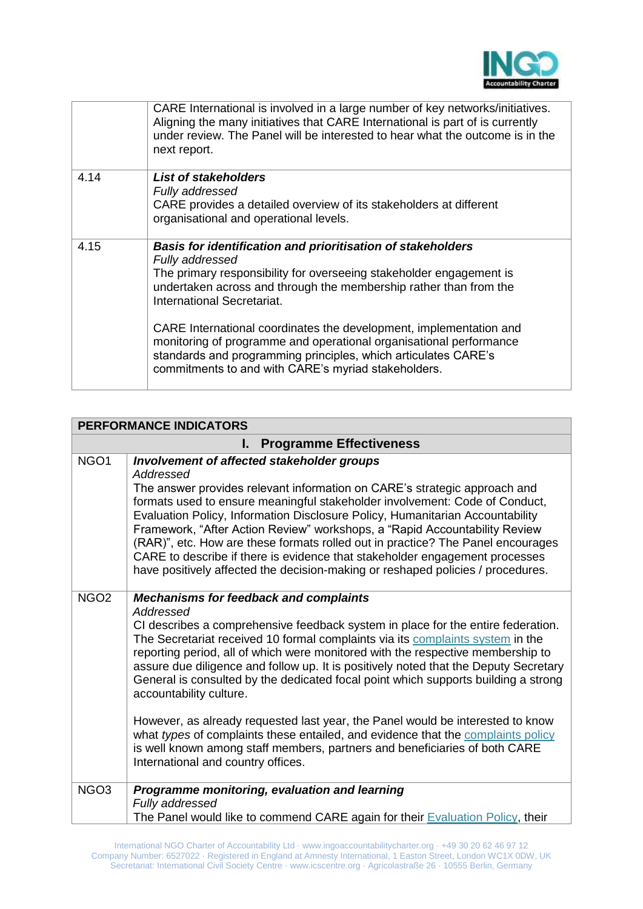

|      | CARE International is involved in a large number of key networks/initiatives.<br>Aligning the many initiatives that CARE International is part of is currently<br>under review. The Panel will be interested to hear what the outcome is in the<br>next report.                                                                                                                                                                                                                                                               |
|------|-------------------------------------------------------------------------------------------------------------------------------------------------------------------------------------------------------------------------------------------------------------------------------------------------------------------------------------------------------------------------------------------------------------------------------------------------------------------------------------------------------------------------------|
| 4.14 | List of stakeholders<br>Fully addressed<br>CARE provides a detailed overview of its stakeholders at different<br>organisational and operational levels.                                                                                                                                                                                                                                                                                                                                                                       |
| 4.15 | Basis for identification and prioritisation of stakeholders<br>Fully addressed<br>The primary responsibility for overseeing stakeholder engagement is<br>undertaken across and through the membership rather than from the<br>International Secretariat.<br>CARE International coordinates the development, implementation and<br>monitoring of programme and operational organisational performance<br>standards and programming principles, which articulates CARE's<br>commitments to and with CARE's myriad stakeholders. |

| <b>PERFORMANCE INDICATORS</b>        |                                                                                                                                                                                                                                                                                                                                                                                                                                                                                                                                                                                                                                         |
|--------------------------------------|-----------------------------------------------------------------------------------------------------------------------------------------------------------------------------------------------------------------------------------------------------------------------------------------------------------------------------------------------------------------------------------------------------------------------------------------------------------------------------------------------------------------------------------------------------------------------------------------------------------------------------------------|
| <b>Programme Effectiveness</b><br>ь. |                                                                                                                                                                                                                                                                                                                                                                                                                                                                                                                                                                                                                                         |
| NGO <sub>1</sub>                     | Involvement of affected stakeholder groups<br>Addressed<br>The answer provides relevant information on CARE's strategic approach and<br>formats used to ensure meaningful stakeholder involvement: Code of Conduct,<br>Evaluation Policy, Information Disclosure Policy, Humanitarian Accountability<br>Framework, "After Action Review" workshops, a "Rapid Accountability Review<br>(RAR)", etc. How are these formats rolled out in practice? The Panel encourages<br>CARE to describe if there is evidence that stakeholder engagement processes<br>have positively affected the decision-making or reshaped policies / procedures. |
| NGO <sub>2</sub>                     | <b>Mechanisms for feedback and complaints</b><br>Addressed<br>CI describes a comprehensive feedback system in place for the entire federation.<br>The Secretariat received 10 formal complaints via its complaints system in the<br>reporting period, all of which were monitored with the respective membership to<br>assure due diligence and follow up. It is positively noted that the Deputy Secretary<br>General is consulted by the dedicated focal point which supports building a strong<br>accountability culture.<br>However, as already requested last year, the Panel would be interested to know                          |
|                                      | what types of complaints these entailed, and evidence that the complaints policy<br>is well known among staff members, partners and beneficiaries of both CARE<br>International and country offices.                                                                                                                                                                                                                                                                                                                                                                                                                                    |
| NGO <sub>3</sub>                     | Programme monitoring, evaluation and learning<br>Fully addressed<br>The Panel would like to commend CARE again for their Evaluation Policy, their                                                                                                                                                                                                                                                                                                                                                                                                                                                                                       |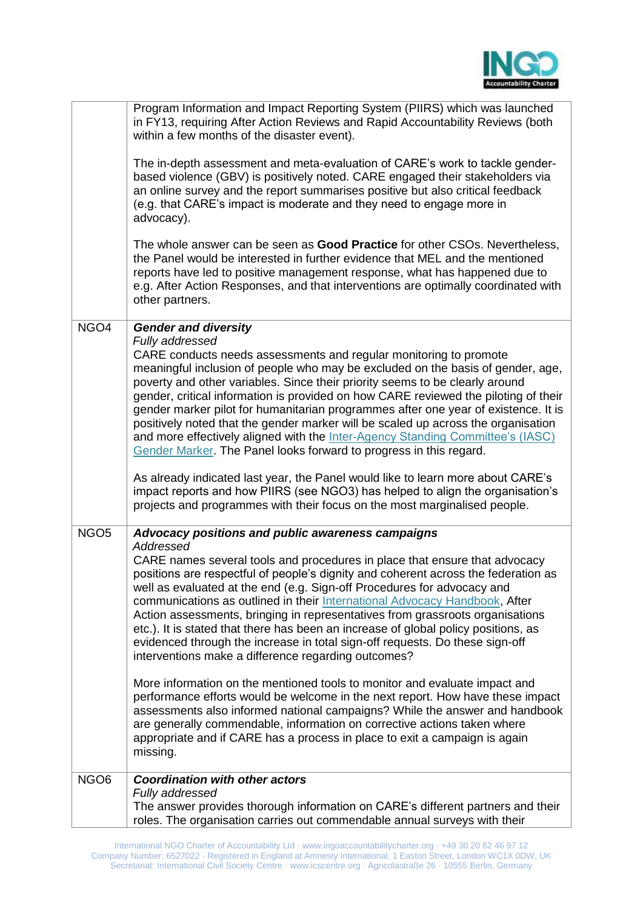

|                  | Program Information and Impact Reporting System (PIIRS) which was launched<br>in FY13, requiring After Action Reviews and Rapid Accountability Reviews (both<br>within a few months of the disaster event).<br>The in-depth assessment and meta-evaluation of CARE's work to tackle gender-<br>based violence (GBV) is positively noted. CARE engaged their stakeholders via<br>an online survey and the report summarises positive but also critical feedback<br>(e.g. that CARE's impact is moderate and they need to engage more in<br>advocacy).<br>The whole answer can be seen as Good Practice for other CSOs. Nevertheless,<br>the Panel would be interested in further evidence that MEL and the mentioned<br>reports have led to positive management response, what has happened due to<br>e.g. After Action Responses, and that interventions are optimally coordinated with<br>other partners. |
|------------------|------------------------------------------------------------------------------------------------------------------------------------------------------------------------------------------------------------------------------------------------------------------------------------------------------------------------------------------------------------------------------------------------------------------------------------------------------------------------------------------------------------------------------------------------------------------------------------------------------------------------------------------------------------------------------------------------------------------------------------------------------------------------------------------------------------------------------------------------------------------------------------------------------------|
| NGO <sub>4</sub> | <b>Gender and diversity</b>                                                                                                                                                                                                                                                                                                                                                                                                                                                                                                                                                                                                                                                                                                                                                                                                                                                                                |
|                  | Fully addressed<br>CARE conducts needs assessments and regular monitoring to promote<br>meaningful inclusion of people who may be excluded on the basis of gender, age,<br>poverty and other variables. Since their priority seems to be clearly around<br>gender, critical information is provided on how CARE reviewed the piloting of their<br>gender marker pilot for humanitarian programmes after one year of existence. It is<br>positively noted that the gender marker will be scaled up across the organisation<br>and more effectively aligned with the Inter-Agency Standing Committee's (IASC)<br>Gender Marker. The Panel looks forward to progress in this regard.<br>As already indicated last year, the Panel would like to learn more about CARE's<br>impact reports and how PIIRS (see NGO3) has helped to align the organisation's                                                     |
|                  | projects and programmes with their focus on the most marginalised people.                                                                                                                                                                                                                                                                                                                                                                                                                                                                                                                                                                                                                                                                                                                                                                                                                                  |
| NGO <sub>5</sub> | Advocacy positions and public awareness campaigns                                                                                                                                                                                                                                                                                                                                                                                                                                                                                                                                                                                                                                                                                                                                                                                                                                                          |
|                  | Addressed<br>CARE names several tools and procedures in place that ensure that advocacy<br>positions are respectful of people's dignity and coherent across the federation as<br>well as evaluated at the end (e.g. Sign-off Procedures for advocacy and<br>communications as outlined in their International Advocacy Handbook, After<br>Action assessments, bringing in representatives from grassroots organisations<br>etc.). It is stated that there has been an increase of global policy positions, as<br>evidenced through the increase in total sign-off requests. Do these sign-off<br>interventions make a difference regarding outcomes?                                                                                                                                                                                                                                                       |
|                  | More information on the mentioned tools to monitor and evaluate impact and<br>performance efforts would be welcome in the next report. How have these impact<br>assessments also informed national campaigns? While the answer and handbook<br>are generally commendable, information on corrective actions taken where<br>appropriate and if CARE has a process in place to exit a campaign is again<br>missing.                                                                                                                                                                                                                                                                                                                                                                                                                                                                                          |
| NGO <sub>6</sub> | <b>Coordination with other actors</b>                                                                                                                                                                                                                                                                                                                                                                                                                                                                                                                                                                                                                                                                                                                                                                                                                                                                      |
|                  | Fully addressed<br>The answer provides thorough information on CARE's different partners and their<br>roles. The organisation carries out commendable annual surveys with their                                                                                                                                                                                                                                                                                                                                                                                                                                                                                                                                                                                                                                                                                                                            |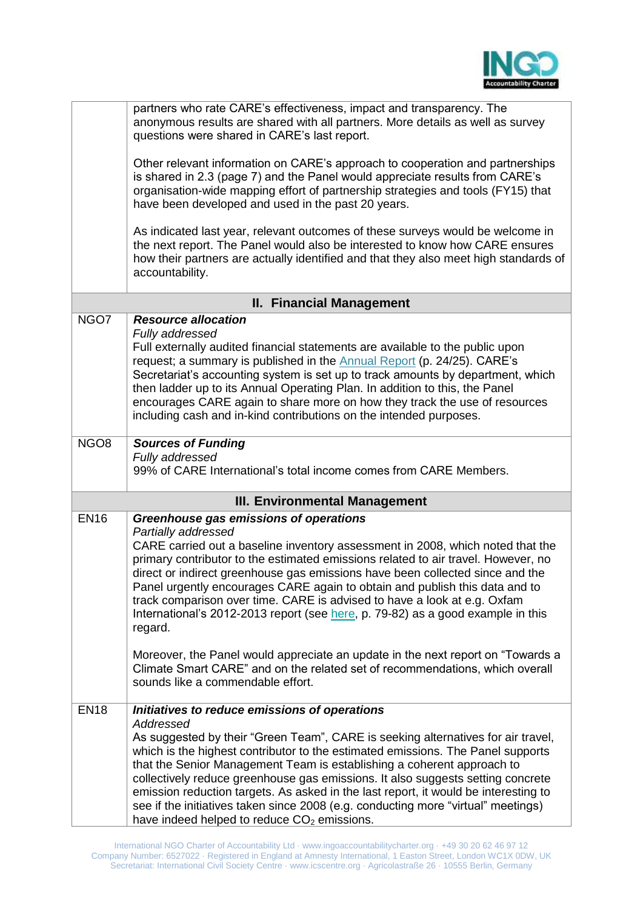

|                                      | partners who rate CARE's effectiveness, impact and transparency. The<br>anonymous results are shared with all partners. More details as well as survey<br>questions were shared in CARE's last report.                                                                                                                                                                                                                                                                                                                                                                                                                      |  |
|--------------------------------------|-----------------------------------------------------------------------------------------------------------------------------------------------------------------------------------------------------------------------------------------------------------------------------------------------------------------------------------------------------------------------------------------------------------------------------------------------------------------------------------------------------------------------------------------------------------------------------------------------------------------------------|--|
|                                      | Other relevant information on CARE's approach to cooperation and partnerships<br>is shared in 2.3 (page 7) and the Panel would appreciate results from CARE's<br>organisation-wide mapping effort of partnership strategies and tools (FY15) that<br>have been developed and used in the past 20 years.                                                                                                                                                                                                                                                                                                                     |  |
|                                      | As indicated last year, relevant outcomes of these surveys would be welcome in<br>the next report. The Panel would also be interested to know how CARE ensures<br>how their partners are actually identified and that they also meet high standards of<br>accountability.                                                                                                                                                                                                                                                                                                                                                   |  |
|                                      | <b>II. Financial Management</b>                                                                                                                                                                                                                                                                                                                                                                                                                                                                                                                                                                                             |  |
| NGO7                                 | <b>Resource allocation</b><br>Fully addressed<br>Full externally audited financial statements are available to the public upon<br>request; a summary is published in the <b>Annual Report</b> (p. 24/25). CARE's<br>Secretariat's accounting system is set up to track amounts by department, which<br>then ladder up to its Annual Operating Plan. In addition to this, the Panel<br>encourages CARE again to share more on how they track the use of resources<br>including cash and in-kind contributions on the intended purposes.                                                                                      |  |
| NGO <sub>8</sub>                     | <b>Sources of Funding</b><br>Fully addressed<br>99% of CARE International's total income comes from CARE Members.                                                                                                                                                                                                                                                                                                                                                                                                                                                                                                           |  |
| <b>III. Environmental Management</b> |                                                                                                                                                                                                                                                                                                                                                                                                                                                                                                                                                                                                                             |  |
| <b>EN16</b>                          | Greenhouse gas emissions of operations<br>Partially addressed<br>CARE carried out a baseline inventory assessment in 2008, which noted that the<br>primary contributor to the estimated emissions related to air travel. However, no<br>direct or indirect greenhouse gas emissions have been collected since and the<br>Panel urgently encourages CARE again to obtain and publish this data and to<br>track comparison over time. CARE is advised to have a look at e.g. Oxfam<br>International's 2012-2013 report (see here, p. 79-82) as a good example in this<br>regard.                                              |  |
|                                      | Moreover, the Panel would appreciate an update in the next report on "Towards a<br>Climate Smart CARE" and on the related set of recommendations, which overall<br>sounds like a commendable effort.                                                                                                                                                                                                                                                                                                                                                                                                                        |  |
| <b>EN18</b>                          | Initiatives to reduce emissions of operations<br>Addressed<br>As suggested by their "Green Team", CARE is seeking alternatives for air travel,<br>which is the highest contributor to the estimated emissions. The Panel supports<br>that the Senior Management Team is establishing a coherent approach to<br>collectively reduce greenhouse gas emissions. It also suggests setting concrete<br>emission reduction targets. As asked in the last report, it would be interesting to<br>see if the initiatives taken since 2008 (e.g. conducting more "virtual" meetings)<br>have indeed helped to reduce $CO2$ emissions. |  |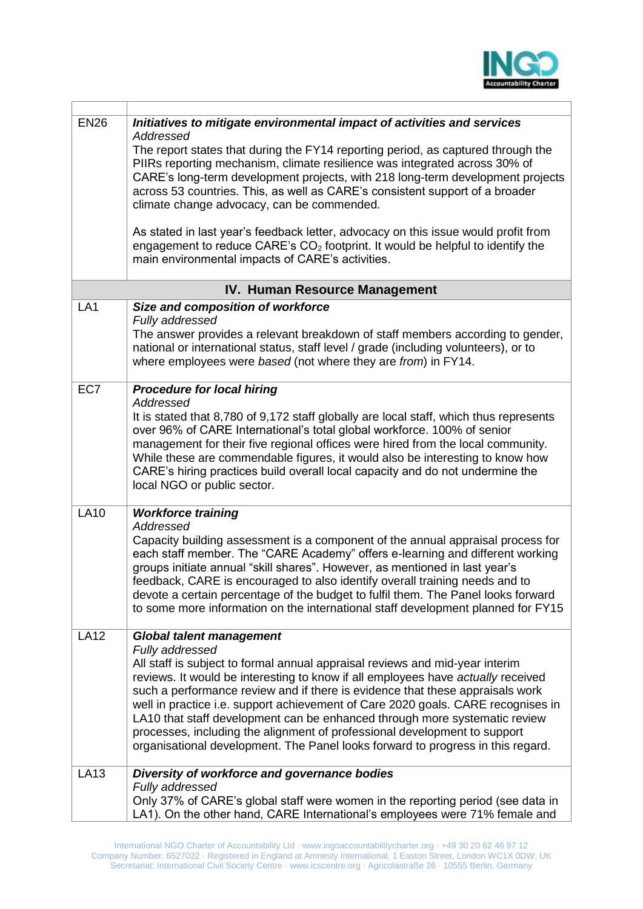

| <b>EN26</b>     | Initiatives to mitigate environmental impact of activities and services                                                                                                                                                                                                                                                                                                                                                                                                                                                                                                                                |
|-----------------|--------------------------------------------------------------------------------------------------------------------------------------------------------------------------------------------------------------------------------------------------------------------------------------------------------------------------------------------------------------------------------------------------------------------------------------------------------------------------------------------------------------------------------------------------------------------------------------------------------|
|                 | Addressed<br>The report states that during the FY14 reporting period, as captured through the<br>PIIRs reporting mechanism, climate resilience was integrated across 30% of<br>CARE's long-term development projects, with 218 long-term development projects<br>across 53 countries. This, as well as CARE's consistent support of a broader<br>climate change advocacy, can be commended.                                                                                                                                                                                                            |
|                 | As stated in last year's feedback letter, advocacy on this issue would profit from<br>engagement to reduce CARE's $CO2$ footprint. It would be helpful to identify the<br>main environmental impacts of CARE's activities.                                                                                                                                                                                                                                                                                                                                                                             |
|                 | IV. Human Resource Management                                                                                                                                                                                                                                                                                                                                                                                                                                                                                                                                                                          |
| LA <sub>1</sub> | Size and composition of workforce                                                                                                                                                                                                                                                                                                                                                                                                                                                                                                                                                                      |
|                 | Fully addressed<br>The answer provides a relevant breakdown of staff members according to gender,<br>national or international status, staff level / grade (including volunteers), or to<br>where employees were based (not where they are from) in FY14.                                                                                                                                                                                                                                                                                                                                              |
| EC7             | <b>Procedure for local hiring</b>                                                                                                                                                                                                                                                                                                                                                                                                                                                                                                                                                                      |
|                 | Addressed<br>It is stated that 8,780 of 9,172 staff globally are local staff, which thus represents<br>over 96% of CARE International's total global workforce. 100% of senior<br>management for their five regional offices were hired from the local community.<br>While these are commendable figures, it would also be interesting to know how<br>CARE's hiring practices build overall local capacity and do not undermine the<br>local NGO or public sector.                                                                                                                                     |
| <b>LA10</b>     | <b>Workforce training</b>                                                                                                                                                                                                                                                                                                                                                                                                                                                                                                                                                                              |
|                 | Addressed<br>Capacity building assessment is a component of the annual appraisal process for<br>each staff member. The "CARE Academy" offers e-learning and different working<br>groups initiate annual "skill shares". However, as mentioned in last year's<br>feedback, CARE is encouraged to also identify overall training needs and to<br>devote a certain percentage of the budget to fulfil them. The Panel looks forward<br>to some more information on the international staff development planned for FY15                                                                                   |
| <b>LA12</b>     | <b>Global talent management</b>                                                                                                                                                                                                                                                                                                                                                                                                                                                                                                                                                                        |
|                 | Fully addressed<br>All staff is subject to formal annual appraisal reviews and mid-year interim<br>reviews. It would be interesting to know if all employees have actually received<br>such a performance review and if there is evidence that these appraisals work<br>well in practice i.e. support achievement of Care 2020 goals. CARE recognises in<br>LA10 that staff development can be enhanced through more systematic review<br>processes, including the alignment of professional development to support<br>organisational development. The Panel looks forward to progress in this regard. |
| <b>LA13</b>     | Diversity of workforce and governance bodies                                                                                                                                                                                                                                                                                                                                                                                                                                                                                                                                                           |
|                 | Fully addressed<br>Only 37% of CARE's global staff were women in the reporting period (see data in<br>LA1). On the other hand, CARE International's employees were 71% female and                                                                                                                                                                                                                                                                                                                                                                                                                      |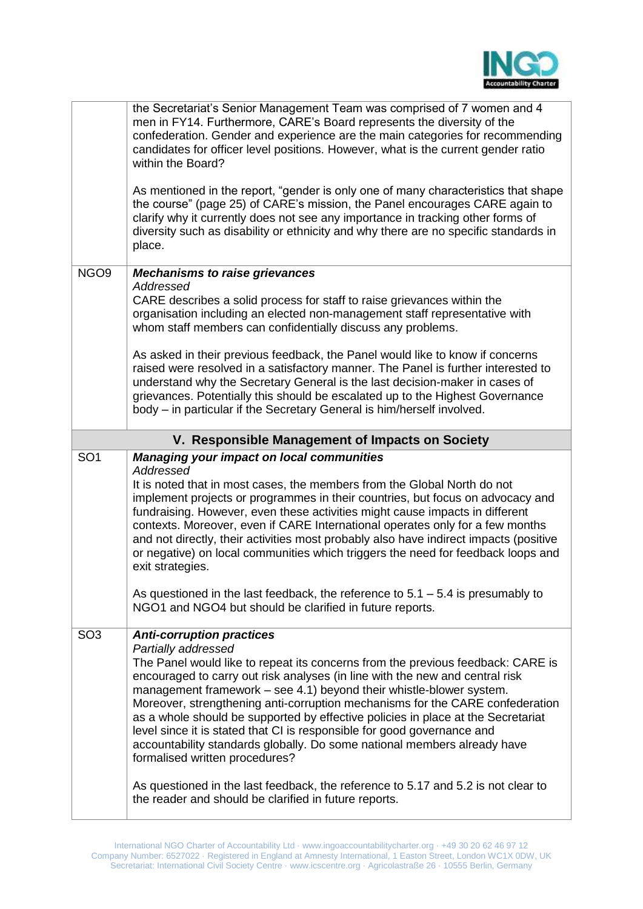

|                  | the Secretariat's Senior Management Team was comprised of 7 women and 4<br>men in FY14. Furthermore, CARE's Board represents the diversity of the<br>confederation. Gender and experience are the main categories for recommending<br>candidates for officer level positions. However, what is the current gender ratio<br>within the Board?                                                                                                                                                                                                                                                                                                                                                                                                         |
|------------------|------------------------------------------------------------------------------------------------------------------------------------------------------------------------------------------------------------------------------------------------------------------------------------------------------------------------------------------------------------------------------------------------------------------------------------------------------------------------------------------------------------------------------------------------------------------------------------------------------------------------------------------------------------------------------------------------------------------------------------------------------|
|                  | As mentioned in the report, "gender is only one of many characteristics that shape<br>the course" (page 25) of CARE's mission, the Panel encourages CARE again to<br>clarify why it currently does not see any importance in tracking other forms of<br>diversity such as disability or ethnicity and why there are no specific standards in<br>place.                                                                                                                                                                                                                                                                                                                                                                                               |
| NGO <sub>9</sub> | <b>Mechanisms to raise grievances</b>                                                                                                                                                                                                                                                                                                                                                                                                                                                                                                                                                                                                                                                                                                                |
|                  | Addressed<br>CARE describes a solid process for staff to raise grievances within the<br>organisation including an elected non-management staff representative with<br>whom staff members can confidentially discuss any problems.                                                                                                                                                                                                                                                                                                                                                                                                                                                                                                                    |
|                  | As asked in their previous feedback, the Panel would like to know if concerns<br>raised were resolved in a satisfactory manner. The Panel is further interested to<br>understand why the Secretary General is the last decision-maker in cases of<br>grievances. Potentially this should be escalated up to the Highest Governance<br>body – in particular if the Secretary General is him/herself involved.                                                                                                                                                                                                                                                                                                                                         |
|                  | V. Responsible Management of Impacts on Society                                                                                                                                                                                                                                                                                                                                                                                                                                                                                                                                                                                                                                                                                                      |
| SO <sub>1</sub>  |                                                                                                                                                                                                                                                                                                                                                                                                                                                                                                                                                                                                                                                                                                                                                      |
|                  | <b>Managing your impact on local communities</b><br>Addressed<br>It is noted that in most cases, the members from the Global North do not<br>implement projects or programmes in their countries, but focus on advocacy and<br>fundraising. However, even these activities might cause impacts in different<br>contexts. Moreover, even if CARE International operates only for a few months<br>and not directly, their activities most probably also have indirect impacts (positive<br>or negative) on local communities which triggers the need for feedback loops and<br>exit strategies.                                                                                                                                                        |
|                  | As questioned in the last feedback, the reference to $5.1 - 5.4$ is presumably to<br>NGO1 and NGO4 but should be clarified in future reports.                                                                                                                                                                                                                                                                                                                                                                                                                                                                                                                                                                                                        |
| SO <sub>3</sub>  | <b>Anti-corruption practices</b><br>Partially addressed<br>The Panel would like to repeat its concerns from the previous feedback: CARE is<br>encouraged to carry out risk analyses (in line with the new and central risk<br>management framework - see 4.1) beyond their whistle-blower system.<br>Moreover, strengthening anti-corruption mechanisms for the CARE confederation<br>as a whole should be supported by effective policies in place at the Secretariat<br>level since it is stated that CI is responsible for good governance and<br>accountability standards globally. Do some national members already have<br>formalised written procedures?<br>As questioned in the last feedback, the reference to 5.17 and 5.2 is not clear to |